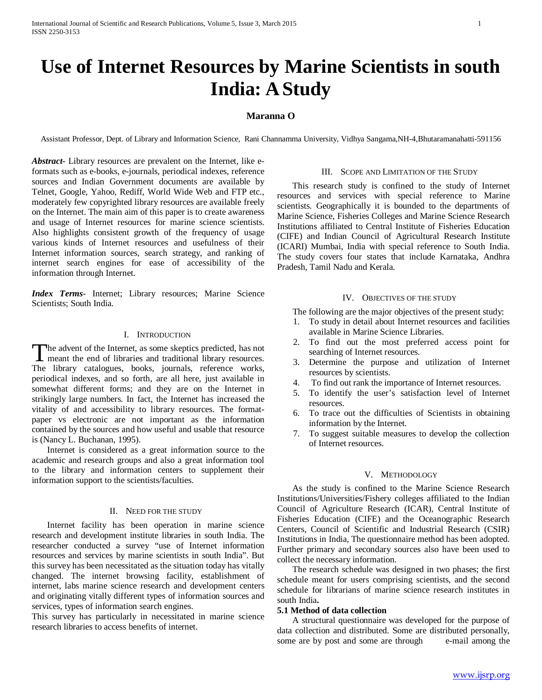# **Use of Internet Resources by Marine Scientists in south India: A Study**

# **Maranna O**

Assistant Professor, Dept. of Library and Information Science, Rani Channamma University, Vidhya Sangama,NH-4,Bhutaramanahatti-591156

*Abstract***-** Library resources are prevalent on the Internet, like eformats such as e-books, e-journals, periodical indexes, reference sources and Indian Government documents are available by Telnet, Google, Yahoo, Rediff, World Wide Web and FTP etc., moderately few copyrighted library resources are available freely on the Internet. The main aim of this paper is to create awareness and usage of Internet resources for marine science scientists. Also highlights consistent growth of the frequency of usage various kinds of Internet resources and usefulness of their Internet information sources, search strategy, and ranking of internet search engines for ease of accessibility of the information through Internet.

*Index Terms*- Internet; Library resources; Marine Science Scientists; South India.

#### I. INTRODUCTION

he advent of the Internet, as some skeptics predicted, has not The advent of the Internet, as some skeptics predicted, has not meant the end of libraries and traditional library resources. The library catalogues, books, journals, reference works, periodical indexes, and so forth, are all here, just available in somewhat different forms; and they are on the Internet in strikingly large numbers. In fact, the Internet has increased the vitality of and accessibility to library resources. The formatpaper vs electronic are not important as the information contained by the sources and how useful and usable that resource is (Nancy L. Buchanan, 1995).

 Internet is considered as a great information source to the academic and research groups and also a great information tool to the library and information centers to supplement their information support to the scientists/faculties.

#### II. NEED FOR THE STUDY

 Internet facility has been operation in marine science research and development institute libraries in south India. The researcher conducted a survey "use of Internet information resources and services by marine scientists in south India". But this survey has been necessitated as the situation today has vitally changed. The internet browsing facility, establishment of internet, labs marine science research and development centers and originating vitally different types of information sources and services, types of information search engines.

This survey has particularly in necessitated in marine science research libraries to access benefits of internet.

#### III. SCOPE AND LIMITATION OF THE STUDY

 This research study is confined to the study of Internet resources and services with special reference to Marine scientists. Geographically it is bounded to the departments of Marine Science, Fisheries Colleges and Marine Science Research Institutions affiliated to Central Institute of Fisheries Education (CIFE) and Indian Council of Agricultural Research Institute (ICARI) Mumbai, India with special reference to South India. The study covers four states that include Karnataka, Andhra Pradesh, Tamil Nadu and Kerala.

#### IV. OBJECTIVES OF THE STUDY

The following are the major objectives of the present study:

- 1. To study in detail about Internet resources and facilities available in Marine Science Libraries.
- 2. To find out the most preferred access point for searching of Internet resources.
- 3. Determine the purpose and utilization of Internet resources by scientists.
- 4. To find out rank the importance of Internet resources.
- 5. To identify the user's satisfaction level of Internet resources.
- 6. To trace out the difficulties of Scientists in obtaining information by the Internet.
- 7. To suggest suitable measures to develop the collection of Internet resources.

#### V. METHODOLOGY

 As the study is confined to the Marine Science Research Institutions/Universities/Fishery colleges affiliated to the Indian Council of Agriculture Research (ICAR), Central Institute of Fisheries Education (CIFE) and the Oceanographic Research Centers, Council of Scientific and Industrial Research (CSIR) Institutions in India, The questionnaire method has been adopted. Further primary and secondary sources also have been used to collect the necessary information.

 The research schedule was designed in two phases; the first schedule meant for users comprising scientists, and the second schedule for librarians of marine science research institutes in south India**.** 

#### **5.1 Method of data collection**

 A structural questionnaire was developed for the purpose of data collection and distributed. Some are distributed personally, some are by post and some are through e-mail among the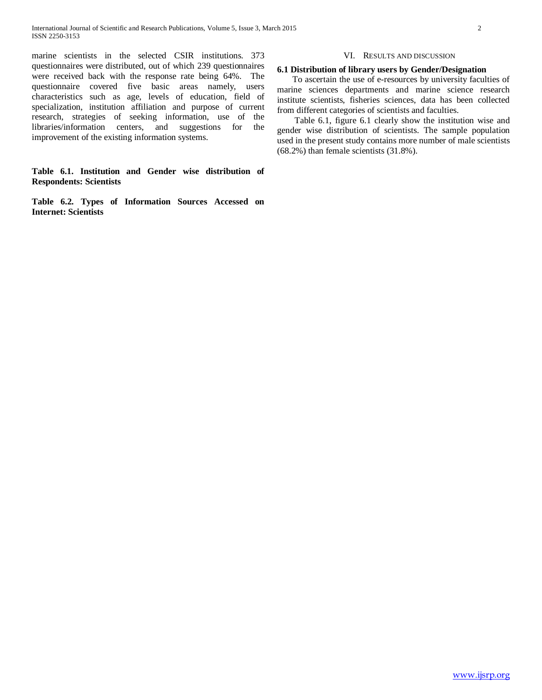marine scientists in the selected CSIR institutions. 373 questionnaires were distributed, out of which 239 questionnaires were received back with the response rate being 64%. The questionnaire covered five basic areas namely, users characteristics such as age, levels of education, field of specialization, institution affiliation and purpose of current research, strategies of seeking information, use of the libraries/information centers, and suggestions for the improvement of the existing information systems.

# **Table 6.1. Institution and Gender wise distribution of Respondents: Scientists**

**Table 6.2. Types of Information Sources Accessed on Internet: Scientists**

#### VI. RESULTS AND DISCUSSION

#### **6.1 Distribution of library users by Gender/Designation**

 To ascertain the use of e-resources by university faculties of marine sciences departments and marine science research institute scientists, fisheries sciences, data has been collected from different categories of scientists and faculties.

 Table 6.1, figure 6.1 clearly show the institution wise and gender wise distribution of scientists. The sample population used in the present study contains more number of male scientists (68.2%) than female scientists (31.8%).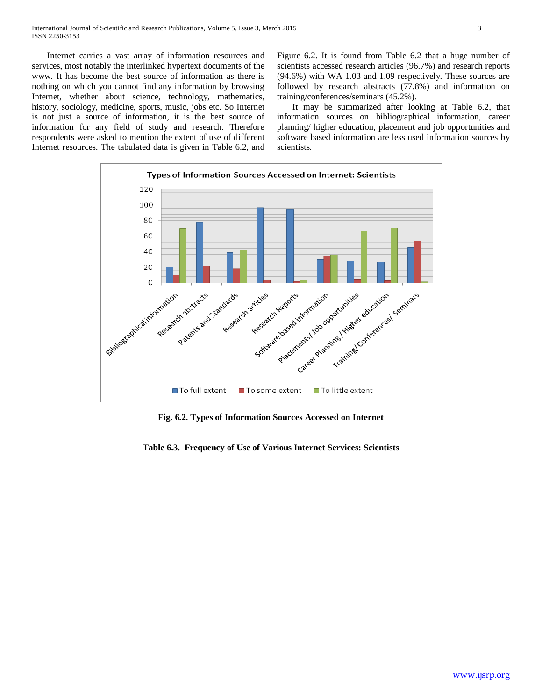Internet carries a vast array of information resources and services, most notably the interlinked hypertext documents of the www. It has become the best source of information as there is nothing on which you cannot find any information by browsing Internet, whether about science, technology, mathematics, history, sociology, medicine, sports, music, jobs etc. So Internet is not just a source of information, it is the best source of information for any field of study and research. Therefore respondents were asked to mention the extent of use of different Internet resources. The tabulated data is given in Table 6.2, and Figure 6.2. It is found from Table 6.2 that a huge number of scientists accessed research articles (96.7%) and research reports (94.6%) with WA 1.03 and 1.09 respectively. These sources are followed by research abstracts (77.8%) and information on training/conferences/seminars (45.2%).

 It may be summarized after looking at Table 6.2, that information sources on bibliographical information, career planning/ higher education, placement and job opportunities and software based information are less used information sources by scientists.



**Fig. 6.2. Types of Information Sources Accessed on Internet**

**Table 6.3. Frequency of Use of Various Internet Services: Scientists**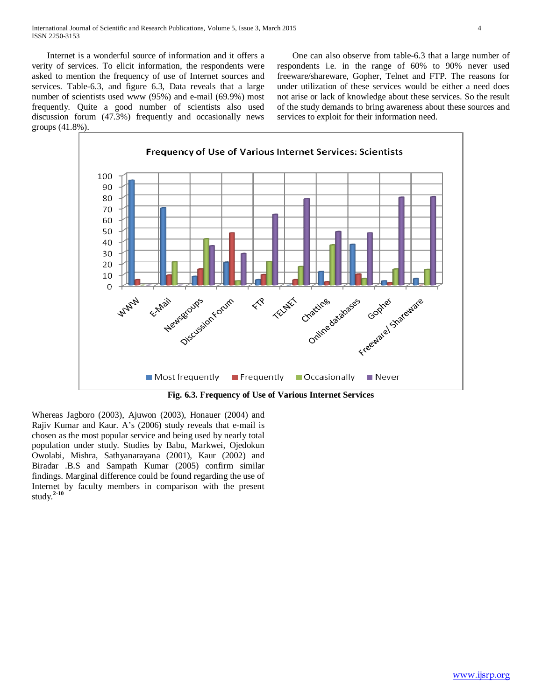Internet is a wonderful source of information and it offers a verity of services. To elicit information, the respondents were asked to mention the frequency of use of Internet sources and services. Table-6.3, and figure 6.3, Data reveals that a large number of scientists used www (95%) and e-mail (69.9%) most frequently. Quite a good number of scientists also used discussion forum (47.3%) frequently and occasionally news groups (41.8%).

 One can also observe from table-6.3 that a large number of respondents i.e. in the range of 60% to 90% never used freeware/shareware, Gopher, Telnet and FTP. The reasons for under utilization of these services would be either a need does not arise or lack of knowledge about these services. So the result of the study demands to bring awareness about these sources and services to exploit for their information need.



**Fig. 6.3. Frequency of Use of Various Internet Services**

Whereas Jagboro (2003), Ajuwon (2003), Honauer (2004) and Rajiv Kumar and Kaur. A's (2006) study reveals that e-mail is chosen as the most popular service and being used by nearly total population under study. Studies by Babu, Markwei, Ojedokun Owolabi, Mishra, Sathyanarayana (2001), Kaur (2002) and Biradar .B.S and Sampath Kumar (2005) confirm similar findings. Marginal difference could be found regarding the use of Internet by faculty members in comparison with the present study.**2-10**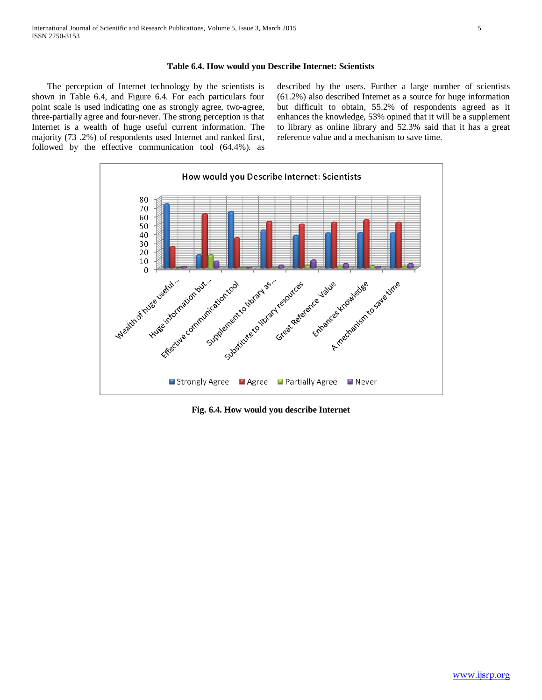### **Table 6.4. How would you Describe Internet: Scientists**

 The perception of Internet technology by the scientists is shown in Table 6.4, and Figure 6.4. For each particulars four point scale is used indicating one as strongly agree, two-agree, three-partially agree and four-never. The strong perception is that Internet is a wealth of huge useful current information. The majority (73 .2%) of respondents used Internet and ranked first, followed by the effective communication tool (64.4%). as described by the users. Further a large number of scientists (61.2%) also described Internet as a source for huge information but difficult to obtain, 55.2% of respondents agreed as it enhances the knowledge, 53% opined that it will be a supplement to library as online library and 52.3% said that it has a great reference value and a mechanism to save time.



**Fig. 6.4. How would you describe Internet**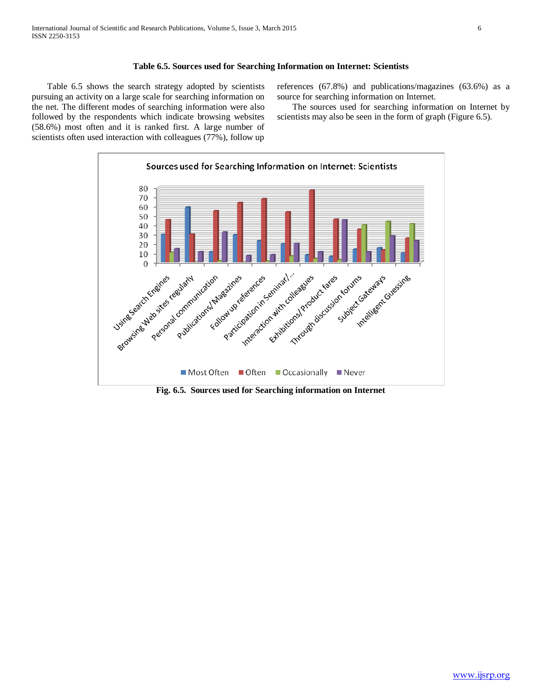## **Table 6.5. Sources used for Searching Information on Internet: Scientists**

 Table 6.5 shows the search strategy adopted by scientists pursuing an activity on a large scale for searching information on the net. The different modes of searching information were also followed by the respondents which indicate browsing websites (58.6%) most often and it is ranked first. A large number of scientists often used interaction with colleagues (77%), follow up references (67.8%) and publications/magazines (63.6%) as a source for searching information on Internet.

 The sources used for searching information on Internet by scientists may also be seen in the form of graph (Figure 6.5).



**Fig. 6.5. Sources used for Searching information on Internet**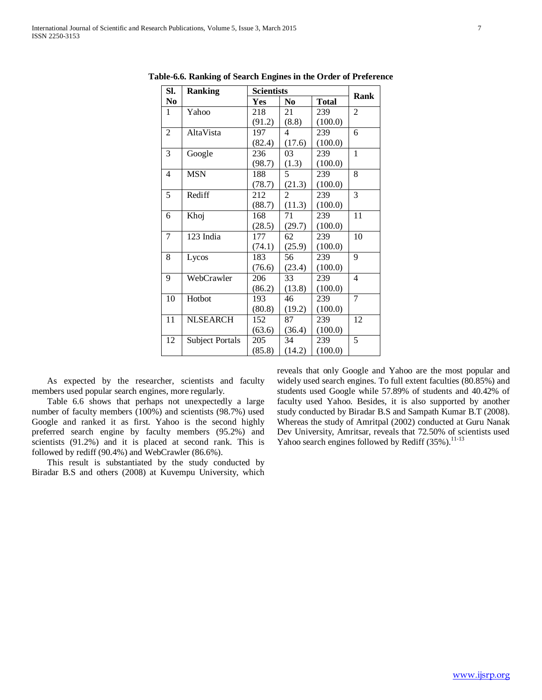| SI.            | <b>Ranking</b>         | <b>Scientists</b> |                |              |                |
|----------------|------------------------|-------------------|----------------|--------------|----------------|
| N <sub>0</sub> |                        | Yes               | No.            | <b>Total</b> | Rank           |
| 1              | Yahoo                  | 218               | 21             | 239          | $\overline{2}$ |
|                |                        | (91.2)            | (8.8)          | (100.0)      |                |
| $\mathfrak{2}$ | AltaVista              | 197               | 4              | 239          | 6              |
|                |                        | (82.4)            | (17.6)         | (100.0)      |                |
| 3              | Google                 | 236               | 03             | 239          | $\mathbf{1}$   |
|                |                        | (98.7)            | (1.3)          | (100.0)      |                |
| 4              | <b>MSN</b>             | 188               | 5              | 239          | 8              |
|                |                        | (78.7)            | (21.3)         | (100.0)      |                |
| 5              | Rediff                 | 212               | $\mathfrak{D}$ | 239          | 3              |
|                |                        | (88.7)            | (11.3)         | (100.0)      |                |
| 6              | Khoj                   | 168               | 71             | 239          | 11             |
|                |                        | (28.5)            | (29.7)         | (100.0)      |                |
| 7              | 123 India              | 177               | 62             | 239          | 10             |
|                |                        | (74.1)            | (25.9)         | (100.0)      |                |
| 8              | Lycos                  | 183               | 56             | 239          | 9              |
|                |                        | (76.6)            | (23.4)         | (100.0)      |                |
| 9              | WebCrawler             | 206               | 33             | 239          | $\overline{4}$ |
|                |                        | (86.2)            | (13.8)         | (100.0)      |                |
| 10             | Hotbot                 | 193               | 46             | 239          | 7              |
|                |                        | (80.8)            | (19.2)         | (100.0)      |                |
| 11             | <b>NLSEARCH</b>        | 152               | 87             | 239          | 12             |
|                |                        | (63.6)            | (36.4)         | (100.0)      |                |
| 12             | <b>Subject Portals</b> | 205               | 34             | 239          | 5              |
|                |                        | (85.8)            | (14.2)         | (100.0)      |                |

**Table-6.6. Ranking of Search Engines in the Order of Preference**

 As expected by the researcher, scientists and faculty members used popular search engines, more regularly.

 Table 6.6 shows that perhaps not unexpectedly a large number of faculty members (100%) and scientists (98.7%) used Google and ranked it as first. Yahoo is the second highly preferred search engine by faculty members (95.2%) and scientists (91.2%) and it is placed at second rank. This is followed by rediff (90.4%) and WebCrawler (86.6%).

 This result is substantiated by the study conducted by Biradar B.S and others (2008) at Kuvempu University, which reveals that only Google and Yahoo are the most popular and widely used search engines. To full extent faculties (80.85%) and students used Google while 57.89% of students and 40.42% of faculty used Yahoo. Besides, it is also supported by another study conducted by Biradar B.S and Sampath Kumar B.T (2008). Whereas the study of Amritpal (2002) conducted at Guru Nanak Dev University, Amritsar, reveals that 72.50% of scientists used Yahoo search engines followed by Rediff  $(35\%)$ .<sup>11-13</sup>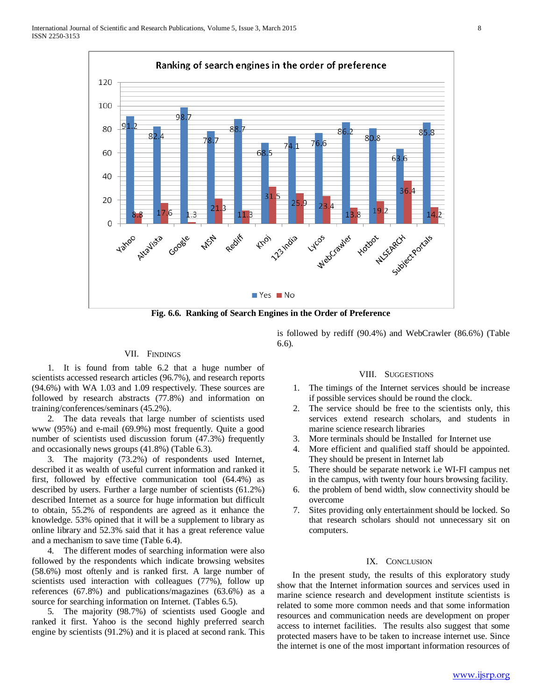

**Fig. 6.6. Ranking of Search Engines in the Order of Preference**

#### VII. FINDINGS

 1. It is found from table 6.2 that a huge number of scientists accessed research articles (96.7%), and research reports (94.6%) with WA 1.03 and 1.09 respectively. These sources are followed by research abstracts (77.8%) and information on training/conferences/seminars (45.2%).

 2. The data reveals that large number of scientists used www (95%) and e-mail (69.9%) most frequently. Quite a good number of scientists used discussion forum (47.3%) frequently and occasionally news groups (41.8%) (Table 6.3).

 3. The majority (73.2%) of respondents used Internet, described it as wealth of useful current information and ranked it first, followed by effective communication tool (64.4%) as described by users. Further a large number of scientists (61.2%) described Internet as a source for huge information but difficult to obtain, 55.2% of respondents are agreed as it enhance the knowledge. 53% opined that it will be a supplement to library as online library and 52.3% said that it has a great reference value and a mechanism to save time (Table 6.4).

 4. The different modes of searching information were also followed by the respondents which indicate browsing websites (58.6%) most oftenly and is ranked first. A large number of scientists used interaction with colleagues (77%), follow up references (67.8%) and publications/magazines (63.6%) as a source for searching information on Internet. (Tables 6.5).

 5. The majority (98.7%) of scientists used Google and ranked it first. Yahoo is the second highly preferred search engine by scientists (91.2%) and it is placed at second rank. This

is followed by rediff (90.4%) and WebCrawler (86.6%) (Table 6.6).

#### VIII. SUGGESTIONS

- 1. The timings of the Internet services should be increase if possible services should be round the clock.
- 2. The service should be free to the scientists only, this services extend research scholars, and students in marine science research libraries
- 3. More terminals should be Installed for Internet use
- 4. More efficient and qualified staff should be appointed. They should be present in Internet lab
- 5. There should be separate network i.e WI-FI campus net in the campus, with twenty four hours browsing facility.
- 6. the problem of bend width, slow connectivity should be overcome
- 7. Sites providing only entertainment should be locked. So that research scholars should not unnecessary sit on computers.

### IX. CONCLUSION

 In the present study, the results of this exploratory study show that the Internet information sources and services used in marine science research and development institute scientists is related to some more common needs and that some information resources and communication needs are development on proper access to internet facilities. The results also suggest that some protected masers have to be taken to increase internet use. Since the internet is one of the most important information resources of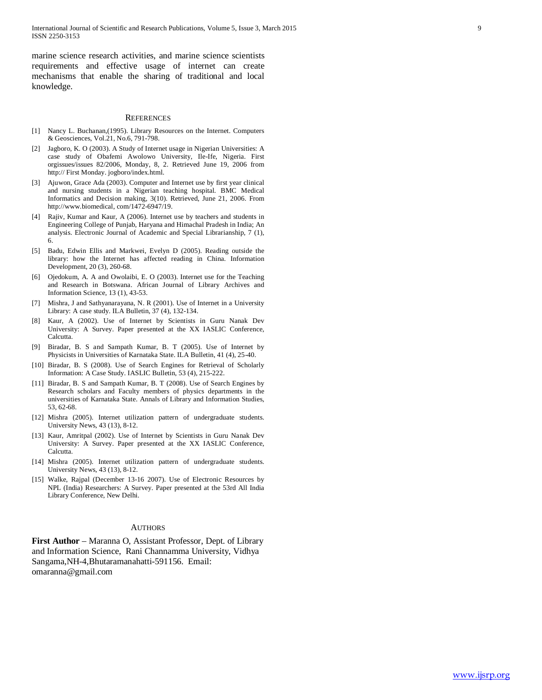marine science research activities, and marine science scientists requirements and effective usage of internet can create mechanisms that enable the sharing of traditional and local knowledge.

#### **REFERENCES**

- [1] Nancy L. Buchanan,(1995). Library Resources on the Internet. Computers & Geosciences, Vol.21, No.6, 791-798.
- [2] Jagboro, K. O (2003). A Study of Internet usage in Nigerian Universities: A case study of Obafemi Awolowo University, Ile-Ife, Nigeria. First orgissues/issues 82/2006, Monday, 8, 2. Retrieved June 19, 2006 from http:// First Monday. jogboro/index.html.
- [3] Ajuwon, Grace Ada (2003). Computer and Internet use by first year clinical and nursing students in a Nigerian teaching hospital. BMC Medical Informatics and Decision making, 3(10). Retrieved, June 21, 2006. From http://www.biomedical, com/1472-6947/19.
- [4] Rajiv, Kumar and Kaur, A (2006). Internet use by teachers and students in Engineering College of Punjab, Haryana and Himachal Pradesh in India; An analysis. Electronic Journal of Academic and Special Librarianship, 7 (1), 6.
- [5] Badu, Edwin Ellis and Markwei, Evelyn D (2005). Reading outside the library: how the Internet has affected reading in China. Information Development, 20 (3), 260-68.
- [6] Ojedokum, A. A and Owolaibi, E. O (2003). Internet use for the Teaching and Research in Botswana. African Journal of Library Archives and Information Science, 13 (1), 43-53.
- [7] Mishra, J and Sathyanarayana, N. R (2001). Use of Internet in a University Library: A case study. ILA Bulletin, 37 (4), 132-134.
- Kaur, A (2002). Use of Internet by Scientists in Guru Nanak Dev University: A Survey. Paper presented at the XX IASLIC Conference, Calcutta.
- [9] Biradar, B. S and Sampath Kumar, B. T (2005). Use of Internet by Physicists in Universities of Karnataka State. ILA Bulletin, 41 (4), 25-40.
- [10] Biradar, B. S (2008). Use of Search Engines for Retrieval of Scholarly Information: A Case Study. IASLIC Bulletin, 53 (4), 215-222.
- [11] Biradar, B. S and Sampath Kumar, B. T (2008). Use of Search Engines by Research scholars and Faculty members of physics departments in the universities of Karnataka State. Annals of Library and Information Studies, 53, 62-68.
- [12] Mishra (2005). Internet utilization pattern of undergraduate students. University News, 43 (13), 8-12.
- [13] Kaur, Amritpal (2002). Use of Internet by Scientists in Guru Nanak Dev University: A Survey. Paper presented at the XX IASLIC Conference, Calcutta.
- [14] Mishra (2005). Internet utilization pattern of undergraduate students. University News, 43 (13), 8-12.
- [15] Walke, Rajpal (December 13-16 2007). Use of Electronic Resources by NPL (India) Researchers: A Survey. Paper presented at the 53rd All India Library Conference, New Delhi.

#### AUTHORS

**First Author** – Maranna O, Assistant Professor, Dept. of Library and Information Science, Rani Channamma University, Vidhya Sangama,NH-4,Bhutaramanahatti-591156. Email: omaranna@gmail.com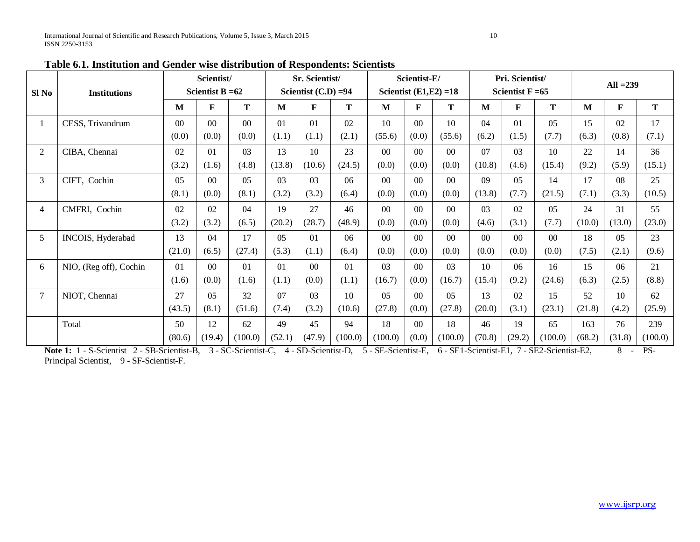| Sl No          | <b>Institutions</b>                                                                     |                | Scientist/<br>Scientist B $=62$ |                |        | Sr. Scientist/<br>Scientist $(C.D) = 94$ |                                                                                                                                                                                                                                    |                | Scientist-E/<br>Scientist $(E1, E2) = 18$ |                |        | Pri. Scientist/<br>Scientist $F = 65$ |                | $All = 239$ |                  |                |  |
|----------------|-----------------------------------------------------------------------------------------|----------------|---------------------------------|----------------|--------|------------------------------------------|------------------------------------------------------------------------------------------------------------------------------------------------------------------------------------------------------------------------------------|----------------|-------------------------------------------|----------------|--------|---------------------------------------|----------------|-------------|------------------|----------------|--|
|                |                                                                                         | M              | F                               | T              | M      | F                                        | T                                                                                                                                                                                                                                  | M              | F                                         | T              | M      | $\mathbf{F}$                          | T              | M           | $\mathbf F$      | $\mathbf T$    |  |
|                | CESS, Trivandrum                                                                        | 0 <sup>0</sup> | 0 <sup>0</sup>                  | 0 <sup>0</sup> | 01     | 01                                       | 02                                                                                                                                                                                                                                 | 10             | 0 <sup>0</sup>                            | 10             | 04     | 01                                    | 05             | 15          | 02               | 17             |  |
|                |                                                                                         | (0.0)          | (0.0)                           | (0.0)          | (1.1)  | (1.1)                                    | (2.1)                                                                                                                                                                                                                              | (55.6)         | (0.0)                                     | (55.6)         | (6.2)  | (1.5)                                 | (7.7)          | (6.3)       | (0.8)            | (7.1)          |  |
| $\overline{2}$ | CIBA, Chennai                                                                           | 02             | 01                              | 03             | 13     | 10                                       | 23                                                                                                                                                                                                                                 | 00             | 0 <sup>0</sup>                            | 0 <sup>0</sup> | 07     | 03                                    | 10             | 22          | 14               | 36             |  |
|                |                                                                                         | (3.2)          | (1.6)                           | (4.8)          | (13.8) | (10.6)                                   | (24.5)                                                                                                                                                                                                                             | (0.0)          | (0.0)                                     | (0.0)          | (10.8) | (4.6)                                 | (15.4)         | (9.2)       | (5.9)            | (15.1)         |  |
| 3              | CIFT, Cochin                                                                            | 0 <sub>5</sub> | 0 <sup>0</sup>                  | 05             | 03     | 0 <sub>3</sub>                           | 06                                                                                                                                                                                                                                 | 0 <sup>0</sup> | 0 <sup>0</sup>                            | 0 <sup>0</sup> | 09     | 0 <sub>5</sub>                        | 14             | 17          | 08               | 25             |  |
|                |                                                                                         | (8.1)          | (0.0)                           | (8.1)          | (3.2)  | (3.2)                                    | (6.4)                                                                                                                                                                                                                              | (0.0)          | (0.0)                                     | (0.0)          | (13.8) | (7.7)                                 | (21.5)         | (7.1)       | (3.3)            | (10.5)         |  |
| $\overline{4}$ | CMFRI, Cochin                                                                           | 02             | 02                              | 04             | 19     | 27                                       | 46                                                                                                                                                                                                                                 | $00\,$         | 0 <sup>0</sup>                            | $00\,$         | 03     | 02                                    | 05             | 24          | 31               | 55             |  |
|                |                                                                                         | (3.2)          | (3.2)                           | (6.5)          | (20.2) | (28.7)                                   | (48.9)                                                                                                                                                                                                                             | (0.0)          | (0.0)                                     | (0.0)          | (4.6)  | (3.1)                                 | (7.7)          | (10.0)      | (13.0)           | (23.0)         |  |
| 5              | INCOIS, Hyderabad                                                                       | 13             | 04                              | 17             | 05     | 01                                       | 06                                                                                                                                                                                                                                 | $00\,$         | 0 <sup>0</sup>                            | 0 <sup>0</sup> | $00\,$ | 0 <sup>0</sup>                        | 0 <sup>0</sup> | 18          | 05               | 23             |  |
|                |                                                                                         | (21.0)         | (6.5)                           | (27.4)         | (5.3)  | (1.1)                                    | (6.4)                                                                                                                                                                                                                              | (0.0)          | (0.0)                                     | (0.0)          | (0.0)  | (0.0)                                 | (0.0)          | (7.5)       | (2.1)            | (9.6)          |  |
| 6              | NIO, (Reg off), Cochin                                                                  | 01             | 0 <sup>0</sup>                  | 01             | 01     | 0 <sup>0</sup>                           | 01                                                                                                                                                                                                                                 | 03             | 0 <sup>0</sup>                            | 0 <sub>3</sub> | 10     | 06                                    | 16             | 15          | 06               | 21             |  |
|                |                                                                                         | (1.6)          | (0.0)                           | (1.6)          | (1.1)  | (0.0)                                    | (1.1)                                                                                                                                                                                                                              | (16.7)         | (0.0)                                     | (16.7)         | (15.4) | (9.2)                                 | (24.6)         | (6.3)       | (2.5)            | (8.8)          |  |
| $\tau$         | NIOT, Chennai                                                                           | 27             | 0 <sub>5</sub>                  | 32             | 07     | 0 <sub>3</sub>                           | 10                                                                                                                                                                                                                                 | 0 <sub>5</sub> | 0 <sup>0</sup>                            | 0.5            | 13     | 02                                    | 15             | 52          | 10               | 62             |  |
|                |                                                                                         | (43.5)         | (8.1)                           | (51.6)         | (7.4)  | (3.2)                                    | (10.6)                                                                                                                                                                                                                             | (27.8)         | (0.0)                                     | (27.8)         | (20.0) | (3.1)                                 | (23.1)         | (21.8)      | (4.2)            | (25.9)         |  |
|                | Total                                                                                   | 50             | 12                              | 62             | 49     | 45                                       | 94                                                                                                                                                                                                                                 | 18             | 0 <sup>0</sup>                            | 18             | 46     | 19                                    | 65             | 163         | 76               | 239            |  |
|                | $\mathbf{M}$ and $\mathbf{M}$ and $\mathbf{M}$ and $\mathbf{M}$<br>$\alpha$ and $\beta$ | (80.6)         | (19.4)                          | (100.0)        | (52.1) | (47.9)                                   | (100.0)<br>$\mathcal{L} \times \mathbf{D}$ a scale $\mathcal{L} \times \mathbf{C}$ and $\mathcal{L} \times \mathbf{D}$ and $\mathcal{L} \times \mathbf{C}$ and $\mathcal{L} \times \mathbf{D}$ and $\mathcal{L} \times \mathbf{D}$ | (100.0)        | (0.0)                                     | (100.0)        | (70.8) | (29.2)                                | (100.0)        | (68.2)      | (31.8)<br>$\sim$ | (100.0)<br>na. |  |

**Table 6.1. Institution and Gender wise distribution of Respondents: Scientists**

Note 1: 1 - S-Scientist 2 - SB-Scientist-B, 3 - SC-Scientist-C, 4 - SD-Scientist-D, 5 - SE-Scientist-E, 6 - SE1-Scientist-E1, 7 - SE2-Scientist-E2, 8 - PS-Principal Scientist, 9 - SF-Scientist-F.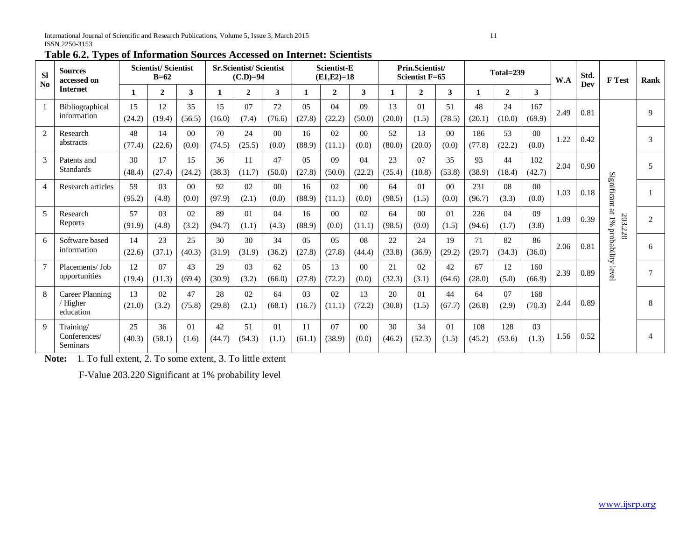| <b>Sl</b><br>$\mathbf{N}\mathbf{0}$ | <b>Sources</b><br>accessed on                   |              | <b>Scientist/Scientist</b><br>$B=62$ |                         |              | <b>Sr.Scientist/Scientist</b><br>$(C.D)=94$ |                         |                          | <b>Scientist-E</b><br>$(E1,E2)=18$ |                          |              | Prin.Scientist/<br><b>Scientist F=65</b> |                         |               | Total=239     |                         | W.A  | Std.<br>Dev | <b>F</b> Test     | Rank                     |
|-------------------------------------|-------------------------------------------------|--------------|--------------------------------------|-------------------------|--------------|---------------------------------------------|-------------------------|--------------------------|------------------------------------|--------------------------|--------------|------------------------------------------|-------------------------|---------------|---------------|-------------------------|------|-------------|-------------------|--------------------------|
|                                     | <b>Internet</b>                                 | 1            | $\overline{2}$                       | 3                       | 1            | $\overline{2}$                              | 3                       | $\mathbf{1}$             | $\mathbf{2}$                       | 3                        | 1            | $\mathbf{2}$                             | 3                       | 1             | $\mathbf{2}$  | 3                       |      |             |                   |                          |
|                                     | Bibliographical<br>information                  | 15<br>(24.2) | 12<br>(19.4)                         | 35<br>(56.5)            | 15<br>(16.0) | 07<br>(7.4)                                 | 72<br>(76.6)            | 05<br>(27.8)             | 04<br>(22.2)                       | 09<br>(50.0)             | 13<br>(20.0) | 01<br>(1.5)                              | 51<br>(78.5)            | 48<br>(20.1)  | 24<br>(10.0)  | 167<br>(69.9)           | 2.49 | 0.81        |                   | $\mathbf Q$              |
| 2                                   | Research<br>abstracts                           | 48<br>(77.4) | 14<br>(22.6)                         | 0 <sup>0</sup><br>(0.0) | 70<br>(74.5) | 24<br>(25.5)                                | 0 <sup>0</sup><br>(0.0) | 16<br>(88.9)             | 02<br>(11.1)                       | 00 <sup>1</sup><br>(0.0) | 52<br>(80.0) | 13<br>(20.0)                             | 0 <sup>0</sup><br>(0.0) | 186<br>(77.8) | 53<br>(22.2)  | 0 <sup>0</sup><br>(0.0) | 1.22 | 0.42        |                   | 3                        |
| 3                                   | Patents and<br><b>Standards</b>                 | 30<br>(48.4) | 17<br>(27.4)                         | 15<br>(24.2)            | 36<br>(38.3) | 11<br>(11.7)                                | 47<br>(50.0)            | 05<br>(27.8)             | 09<br>(50.0)                       | 04<br>(22.2)             | 23<br>(35.4) | 07<br>(10.8)                             | 35<br>(53.8)            | 93<br>(38.9)  | 44<br>(18.4)  | 102<br>(42.7)           | 2.04 | 0.90        |                   | $\overline{5}$           |
| 4                                   | Research articles                               | 59<br>(95.2) | 0 <sub>3</sub><br>(4.8)              | $00\,$<br>(0.0)         | 92<br>(97.9) | 02<br>(2.1)                                 | 0 <sup>0</sup><br>(0.0) | 16<br>(88.9)             | 02<br>(11.1)                       | 0 <sup>0</sup><br>(0.0)  | 64<br>(98.5) | 01<br>(1.5)                              | 0 <sup>0</sup><br>(0.0) | 231<br>(96.7) | 08<br>(3.3)   | $00\,$<br>(0.0)         | 1.03 | 0.18        | Significant       |                          |
| 5                                   | Research<br>Reports                             | 57<br>(91.9) | 0 <sub>3</sub><br>(4.8)              | 02<br>(3.2)             | 89<br>(94.7) | 01<br>(1.1)                                 | 04<br>(4.3)             | 16<br>(88.9)             | 0 <sub>0</sub><br>(0.0)            | 02<br>(11.1)             | 64<br>(98.5) | 0 <sup>0</sup><br>(0.0)                  | 01<br>(1.5)             | 226<br>(94.6) | 04<br>(1.7)   | 09<br>(3.8)             | 1.09 | 0.39        | at 1%<br>203.220  | $\overline{2}$           |
| 6                                   | Software based<br>information                   | 14<br>(22.6) | 23<br>(37.1)                         | 25<br>(40.3)            | 30<br>(31.9) | 30<br>(31.9)                                | 34<br>(36.2)            | 0 <sub>5</sub><br>(27.8) | 0.5<br>(27.8)                      | 08<br>(44.4)             | 22<br>(33.8) | 24<br>(36.9)                             | 19<br>(29.2)            | 71<br>(29.7)  | 82<br>(34.3)  | 86<br>(36.0)            | 2.06 | 0.81        | probability level | 6                        |
| $\overline{7}$                      | Placements/Job<br>opportunities                 | 12<br>(19.4) | 07<br>(11.3)                         | 43<br>(69.4)            | 29<br>(30.9) | 0 <sup>3</sup><br>(3.2)                     | 62<br>(66.0)            | 05<br>(27.8)             | 13<br>(72.2)                       | 0 <sup>0</sup><br>(0.0)  | 21<br>(32.3) | 02<br>(3.1)                              | 42<br>(64.6)            | 67<br>(28.0)  | 12<br>(5.0)   | 160<br>(66.9)           | 2.39 | 0.89        |                   | 7                        |
| 8                                   | <b>Career Planning</b><br>/ Higher<br>education | 13<br>(21.0) | 02<br>(3.2)                          | 47<br>(75.8)            | 28<br>(29.8) | 02<br>(2.1)                                 | 64<br>(68.1)            | 03<br>(16.7)             | 02<br>(11.1)                       | 13<br>(72.2)             | 20<br>(30.8) | 01<br>(1.5)                              | 44<br>(67.7)            | 64<br>(26.8)  | 07<br>(2.9)   | 168<br>(70.3)           | 2.44 | 0.89        |                   | 8                        |
| 9                                   | Training/<br>Conferences/<br>Seminars           | 25<br>(40.3) | 36<br>(58.1)                         | 01<br>(1.6)             | 42<br>(44.7) | 51<br>(54.3)                                | $\Omega$<br>(1.1)       | 11<br>(61.1)             | 07<br>(38.9)                       | 0 <sup>0</sup><br>(0.0)  | 30<br>(46.2) | 34<br>(52.3)                             | 01<br>(1.5)             | 108<br>(45.2) | 128<br>(53.6) | 0 <sub>3</sub><br>(1.3) | 1.56 | 0.52        |                   | $\overline{\mathcal{A}}$ |

**Table 6.2. Types of Information Sources Accessed on Internet: Scientists**

**Note:** 1. To full extent, 2. To some extent, 3. To little extent

F-Value 203.220 Significant at 1% probability level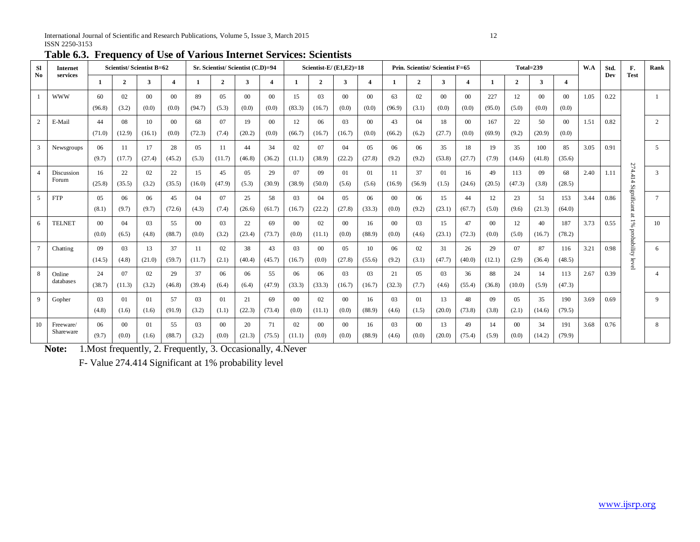| <b>Sl</b><br>N <sub>0</sub> | Internet<br>services   |                          |                         | <b>Scientist/Scientist B=62</b> |                         |                  | Sr. Scientist/Scientist (C.D)=94 |                          |                          |                          | Scientist- $E/(E1,E2)=18$ |                          |                          |                  |                         | Prin. Scientist/Scientist F=65 |                          |                          |                 | Total=239                |                         | W.A  | Std.<br>Dev | F.<br><b>Test</b>    | Rank         |
|-----------------------------|------------------------|--------------------------|-------------------------|---------------------------------|-------------------------|------------------|----------------------------------|--------------------------|--------------------------|--------------------------|---------------------------|--------------------------|--------------------------|------------------|-------------------------|--------------------------------|--------------------------|--------------------------|-----------------|--------------------------|-------------------------|------|-------------|----------------------|--------------|
|                             |                        | -1                       | $\mathbf{2}$            | 3                               | $\overline{4}$          | 1                | $\overline{2}$                   | $\mathbf{3}$             | $\overline{4}$           | -1                       | $\mathbf{2}$              | 3                        | $\overline{\mathbf{4}}$  | -1               | $\overline{2}$          | 3                              | $\overline{4}$           | $\mathbf{1}$             | $\overline{2}$  | 3                        | $\overline{\mathbf{4}}$ |      |             |                      |              |
|                             | <b>WWW</b>             | 60<br>(96.8)             | 02<br>(3.2)             | 0 <sup>0</sup><br>(0.0)         | 0 <sup>0</sup><br>(0.0) | 89<br>(94.7)     | $0.5^{\circ}$<br>(5.3)           | 00 <sup>1</sup><br>(0.0) | $00\,$<br>(0.0)          | 15<br>(83.3)             | 03<br>(16.7)              | 00 <sup>1</sup><br>(0.0) | 0 <sup>0</sup><br>(0.0)  | 63<br>(96.9)     | 02<br>(3.1)             | 00 <sup>1</sup><br>(0.0)       | 00 <sup>1</sup><br>(0.0) | 227<br>(95.0)            | 12<br>(5.0)     | 00 <sup>°</sup><br>(0.0) | 0 <sup>0</sup><br>(0.0) | 1.05 | 0.22        |                      | $\mathbf{1}$ |
| 2                           | E-Mail                 | 44<br>(71.0)             | 08<br>(12.9)            | 10<br>(16.1)                    | $\Omega$<br>(0.0)       | 68<br>(72.3)     | 07<br>(7.4)                      | 19<br>(20.2)             | 00 <sup>1</sup><br>(0.0) | 12<br>(66.7)             | 06<br>(16.7)              | 0 <sub>3</sub><br>(16.7) | 00 <sup>2</sup><br>(0.0) | 43<br>(66.2)     | 04<br>(6.2)             | 18<br>(27.7)                   | 00 <sup>1</sup><br>(0.0) | 167<br>(69.9)            | 22<br>(9.2)     | 50<br>(20.9)             | $^{00}$<br>(0.0)        | 1.51 | 0.82        |                      | 2            |
| $\overline{3}$              | Newsgroups             | 06<br>(9.7)              | -11<br>(17.7)           | 17<br>(27.4)                    | 28<br>(45.2)            | 05<br>(5.3)      | 11<br>(11.7)                     | 44<br>(46.8)             | 34<br>(36.2)             | 02<br>(11.1)             | 07<br>(38.9)              | $^{04}$<br>(22.2)        | 05<br>(27.8)             | 06<br>(9.2)      | 06<br>(9.2)             | 35<br>(53.8)                   | 18<br>(27.7)             | 19<br>(7.9)              | 35<br>(14.6)    | 100<br>(41.8)            | 85<br>(35.6)            | 3.05 | 0.91        |                      | 5            |
| $\overline{4}$              | Discussion<br>Forum    | 16<br>(25.8)             | 22<br>(35.5)            | 02<br>(3.2)                     | 22<br>(35.5)            | 15<br>(16.0)     | 45<br>(47.9)                     | 0.5<br>(5.3)             | 29<br>(30.9)             | 07<br>(38.9)             | 09<br>(50.0)              | 01<br>(5.6)              | 01<br>(5.6)              | 11<br>(16.9)     | 37<br>(56.9)            | 01<br>(1.5)                    | 16<br>(24.6)             | 49<br>(20.5)             | 113<br>(47.3)   | 09<br>(3.8)              | 68<br>(28.5)            | 2.40 | 1.11        | 274.414              | 3            |
| .5                          | <b>FTP</b>             | 05<br>(8.1)              | 06<br>(9.7)             | 06<br>(9.7)                     | 45<br>(72.6)            | 04<br>(4.3)      | 07<br>(7.4)                      | 25<br>(26.6)             | 58<br>(61.7)             | 03<br>(16.7)             | 04<br>(22.2)              | 05<br>(27.8)             | 06<br>(33.3)             | $00\,$<br>(0.0)  | 06<br>(9.2)             | 15<br>(23.1)                   | 44<br>(67.7)             | 12<br>(5.0)              | 23<br>(9.6)     | 51<br>(21.3)             | 153<br>(64.0)           | 3.44 | 0.86        | Significant at 1%    | $\tau$       |
| -6                          | <b>TELNET</b>          | 00 <sup>1</sup><br>(0.0) | 04<br>(6.5)             | 03<br>(4.8)                     | 55<br>(88.7)            | $^{00}$<br>(0.0) | 03<br>(3.2)                      | 22<br>(23.4)             | 69<br>(73.7)             | 00 <sup>1</sup><br>(0.0) | 02<br>(11.1)              | 00<br>(0.0)              | 16<br>(88.9)             | $^{00}$<br>(0.0) | 0 <sup>3</sup><br>(4.6) | 15<br>(23.1)                   | 47<br>(72.3)             | 00 <sup>1</sup><br>(0.0) | 12<br>(5.0)     | 40<br>(16.7)             | 187<br>(78.2)           | 3.73 | 0.55        |                      | 10           |
| $7\phantom{.0}$             | Chatting               | 09<br>(14.5)             | 0 <sup>3</sup><br>(4.8) | 13<br>(21.0)                    | 37<br>(59.7)            | 11<br>(11.7)     | 02<br>(2.1)                      | 38<br>(40.4)             | 43<br>(45.7)             | 03<br>(16.7)             | $00\,$<br>(0.0)           | 05<br>(27.8)             | 10<br>(55.6)             | 06<br>(9.2)      | 02<br>(3.1)             | 31<br>(47.7)                   | 26<br>(40.0)             | 29<br>(12.1)             | 07<br>(2.9)     | 87<br>(36.4)             | 116<br>(48.5)           | 3.21 | 0.98        | probability<br>level | 6            |
| 8                           | Online<br>databases    | 24<br>(38.7)             | 07<br>(11.3)            | 02<br>(3.2)                     | 29<br>(46.8)            | 37<br>(39.4)     | 06<br>(6.4)                      | 06<br>(6.4)              | 55<br>(47.9)             | 06<br>(33.3)             | 06<br>(33.3)              | 03<br>(16.7)             | 03<br>(16.7)             | 21<br>(32.3)     | 05<br>(7.7)             | 03<br>(4.6)                    | 36<br>(55.4)             | 88<br>(36.8)             | 24<br>(10.0)    | 14<br>(5.9)              | 113<br>(47.3)           | 2.67 | 0.39        |                      | 4            |
| 9                           | Gopher                 | 03<br>(4.8)              | 01<br>(1.6)             | 01<br>(1.6)                     | 57<br>(91.9)            | 03<br>(3.2)      | 01<br>(1.1)                      | 21<br>(22.3)             | 69<br>(73.4)             | $00\,$<br>(0.0)          | 02<br>(11.1)              | 00<br>(0.0)              | 16<br>(88.9)             | 03<br>(4.6)      | 01<br>(1.5)             | 13<br>(20.0)                   | 48<br>(73.8)             | 09<br>(3.8)              | 05<br>(2.1)     | 35<br>(14.6)             | 190<br>(79.5)           | 3.69 | 0.69        |                      | 9            |
| 10                          | Freeware/<br>Shareware | 06<br>(9.7)              | $00\,$<br>(0.0)         | 01<br>(1.6)                     | 55<br>(88.7)            | 03<br>(3.2)      | $00\,$<br>(0.0)                  | 20<br>(21.3)             | 71<br>(75.5)             | 02<br>(11.1)             | $00\,$<br>(0.0)           | $00\,$<br>(0.0)          | 16<br>(88.9)             | 03<br>(4.6)      | $00\,$<br>(0.0)         | 13<br>(20.0)                   | 49<br>(75.4)             | 14<br>(5.9)              | $00\,$<br>(0.0) | 34<br>(14.2)             | 191<br>(79.9)           | 3.68 | 0.76        |                      | 8            |

**Table 6.3. Frequency of Use of Various Internet Services: Scientists**

**Note:** 1.Most frequently, 2. Frequently, 3. Occasionally, 4.Never

F- Value 274.414 Significant at 1% probability level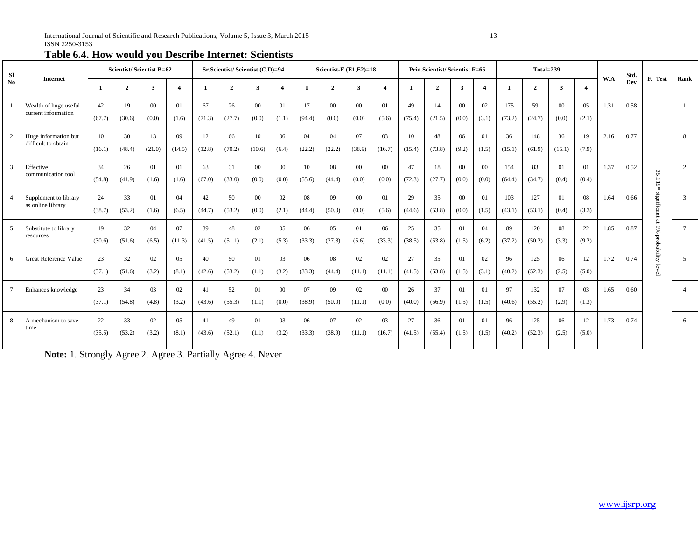|  |  |  | Table 6.4. How would you Describe Internet: Scientists |
|--|--|--|--------------------------------------------------------|
|--|--|--|--------------------------------------------------------|

| <b>SI</b>      | <b>Internet</b>                              |              | <b>Scientist/Scientist B=62</b> |                 |                        |              | Sr.Scientist/Scientist (C.D)=94 |                         |                          |              |                 | Scientist-E $(E1, E2)=18$ |                 |              | Prin.Scientist/Scientist F=65 |                 |                  |               | Total=239      |                 |                         | W.A  | Std. | F. Test                                      | Rank           |
|----------------|----------------------------------------------|--------------|---------------------------------|-----------------|------------------------|--------------|---------------------------------|-------------------------|--------------------------|--------------|-----------------|---------------------------|-----------------|--------------|-------------------------------|-----------------|------------------|---------------|----------------|-----------------|-------------------------|------|------|----------------------------------------------|----------------|
| No             |                                              |              | $\overline{2}$                  | 3               | $\boldsymbol{\Lambda}$ |              | $\overline{2}$                  | $\overline{\mathbf{3}}$ | $\boldsymbol{4}$         |              | $\overline{2}$  | $\overline{\mathbf{3}}$   | 4               |              | $\overline{2}$                | $\mathbf{3}$    |                  |               | $\overline{2}$ | 3               | $\boldsymbol{4}$        |      | Dev  |                                              |                |
|                | Wealth of huge useful<br>current information | 42<br>(67.7) | 19<br>(30.6)                    | $00\,$<br>(0.0) | 01<br>(1.6)            | 67<br>(71.3) | 26<br>(27.7)                    | $00\,$<br>(0.0)         | 01<br>(1.1)              | 17<br>(94.4) | $00\,$<br>(0.0) | $00\,$<br>(0.0)           | 01<br>(5.6)     | 49<br>(75.4) | 14<br>(21.5)                  | $00\,$<br>(0.0) | 02<br>(3.1)      | 175<br>(73.2) | 59<br>(24.7)   | $00\,$<br>(0.0) | 05<br>(2.1)             | 1.31 | 0.58 |                                              |                |
| 2              | Huge information but<br>difficult to obtain  | 10<br>(16.1) | 30<br>(48.4)                    | 13<br>(21.0)    | 09<br>(14.5)           | 12<br>(12.8) | 66<br>(70.2)                    | 10<br>(10.6)            | 06<br>(6.4)              | 04<br>(22.2) | 04<br>(22.2)    | 07<br>(38.9)              | 03<br>(16.7)    | 10<br>(15.4) | 48<br>(73.8)                  | 06<br>(9.2)     | 01<br>(1.5)      | 36<br>(15.1)  | 148<br>(61.9)  | 36<br>(15.1)    | 19<br>(7.9)             | 2.16 | 0.77 |                                              | 8              |
| $\overline{3}$ | Effective<br>communication tool              | 34<br>(54.8) | 26<br>(41.9)                    | 01<br>(1.6)     | 01<br>(1.6)            | 63<br>(67.0) | 31<br>(33.0)                    | $00\,$<br>(0.0)         | $00\,$<br>(0.0)          | 10<br>(55.6) | 08<br>(44.4)    | $00\,$<br>(0.0)           | $00\,$<br>(0.0) | 47<br>(72.3) | 18<br>(27.7)                  | $00\,$<br>(0.0) | 00<br>(0.0)      | 154<br>(64.4) | 83<br>(34.7)   | 01<br>(0.4)     | 01<br>(0.4)             | 1.37 | 0.52 | $35\,$<br>을<br>$15*$                         | 2              |
|                | Supplement to library<br>as online library   | 24<br>(38.7) | 33<br>(53.2)                    | 01<br>(1.6)     | 04<br>(6.5)            | 42<br>(44.7) | .50<br>(53.2)                   | $00\,$<br>(0.0)         | 02<br>(2.1)              | 08<br>(44.4) | 09<br>(50.0)    | $00\,$<br>(0.0)           | 01<br>(5.6)     | 29<br>(44.6) | 35<br>(53.8)                  | $00\,$<br>(0.0) | 01<br>(1.5)      | 103<br>(43.1) | 127<br>(53.1)  | 01<br>(0.4)     | 08<br>(3.3)             | 1.64 | 0.66 | significant                                  | 3              |
| - 5            | Substitute to library<br>resources           | 19<br>(30.6) | 32<br>(51.6)                    | 04<br>(6.5)     | 07<br>(11.3)           | 39<br>(41.5) | 48<br>(51.1)                    | 02<br>(2.1)             | 05<br>(5.3)              | 06<br>(33.3) | 05<br>(27.8)    | 01<br>(5.6)               | 06<br>(33.3)    | 25<br>(38.5) | 35<br>(53.8)                  | 01<br>(1.5)     | 04<br>(6.2)      | 89<br>(37.2)  | 120<br>(50.2)  | 08<br>(3.3)     | 22<br>(9.2)             | 1.85 | 0.87 | $\overline{\mathbf{a}}$<br>1%<br>probability | $\overline{7}$ |
| -6             | <b>Great Reference Value</b>                 | 23<br>(37.1) | 32<br>(51.6)                    | 02<br>(3.2)     | 05<br>(8.1)            | 40<br>(42.6) | 50<br>(53.2)                    | 01<br>(1.1)             | 03<br>(3.2)              | 06<br>(33.3) | 08<br>(44.4)    | 02<br>(11.1)              | 02<br>(11.1)    | 27<br>(41.5) | 35<br>(53.8)                  | 01<br>(1.5)     | 02<br>(3.1)      | 96<br>(40.2)  | 125<br>(52.3)  | 06<br>(2.5)     | 12<br>(5.0)             | 1.72 | 0.74 | leve                                         | 5              |
| $\overline{7}$ | Enhances knowledge                           | 23<br>(37.1) | 34<br>(54.8)                    | 03<br>(4.8)     | 02<br>(3.2)            | 41<br>(43.6) | 52<br>(55.3)                    | 01<br>(1.1)             | 00 <sup>1</sup><br>(0.0) | 07<br>(38.9) | 09<br>(50.0)    | 02<br>(11.1)              | $00\,$<br>(0.0) | 26<br>(40.0) | 37<br>(56.9)                  | 01<br>(1.5)     | $_{01}$<br>(1.5) | 97<br>(40.6)  | 132<br>(55.2)  | 07<br>(2.9)     | 0 <sup>3</sup><br>(1.3) | 1.65 | 0.60 |                                              | $\Lambda$      |
| 8              | A mechanism to save<br>time                  | 22<br>(35.5) | 33<br>(53.2)                    | 02<br>(3.2)     | 05<br>(8.1)            | 41<br>(43.6) | 49<br>(52.1)                    | 01<br>(1.1)             | 03<br>(3.2)              | 06<br>(33.3) | 07<br>(38.9)    | 02<br>(11.1)              | 03<br>(16.7)    | 27<br>(41.5) | 36<br>(55.4)                  | 01<br>(1.5)     | 01<br>(1.5)      | 96<br>(40.2)  | 125<br>(52.3)  | 06<br>(2.5)     | 12<br>(5.0)             | 1.73 | 0.74 |                                              | 6              |

**Note:** 1. Strongly Agree 2. Agree 3. Partially Agree 4. Never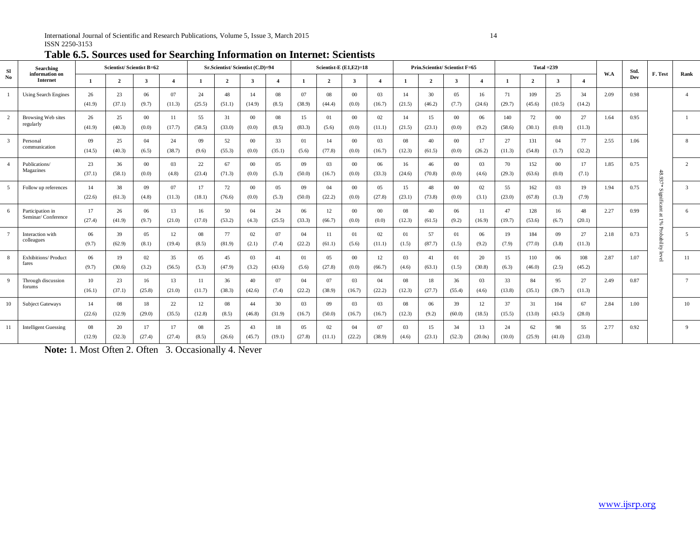| <b>SI</b><br>information on<br>N <sub>0</sub> | <b>Searching</b>                       |              | Scientist/Scientist B=62 |                 |                |              | Sr.Scientist/Scientist (C.D)=94 |                   |                  |                   | Scientist-E $(E1,E2)=18$ |                  |                          |              | Prin.Scientist/Scientist F=65 |                 |                |               |               | Total $=239$             |                |      | Std. |                       |                |
|-----------------------------------------------|----------------------------------------|--------------|--------------------------|-----------------|----------------|--------------|---------------------------------|-------------------|------------------|-------------------|--------------------------|------------------|--------------------------|--------------|-------------------------------|-----------------|----------------|---------------|---------------|--------------------------|----------------|------|------|-----------------------|----------------|
|                                               | <b>Internet</b>                        | $\mathbf{1}$ | $\overline{2}$           | 3               | $\overline{4}$ | $\mathbf{1}$ | $\overline{2}$                  | 3                 | $\boldsymbol{4}$ | $\mathbf{1}$      | $\overline{2}$           | 3                | $\overline{\mathbf{4}}$  | $\mathbf{1}$ | $\mathbf{2}$                  | 3               | $\overline{4}$ | $\mathbf{1}$  | $\mathbf{2}$  | 3                        | $\overline{4}$ | W.A  | Dev  | F. Test               | Rank           |
|                                               | <b>Using Search Engines</b>            | 26<br>(41.9) | 23<br>(37.1)             | 06<br>(9.7)     | 07<br>(11.3)   | 24<br>(25.5) | 48<br>(51.1)                    | 14<br>(14.9)      | 08<br>(8.5)      | 07<br>(38.9)      | 08<br>(44.4)             | $^{00}$<br>(0.0) | 0 <sup>3</sup><br>(16.7) | 14<br>(21.5) | 30<br>(46.2)                  | 0.5<br>(7.7)    | 16<br>(24.6)   | 71<br>(29.7)  | 109<br>(45.6) | 25<br>(10.5)             | 34<br>(14.2)   | 2.09 | 0.98 |                       |                |
| 2                                             | Browsing Web sites<br>regularly        | 26<br>(41.9) | 25<br>(40.3)             | $00\,$<br>(0.0) | 11<br>(17.7)   | 55<br>(58.5) | 31<br>(33.0)                    | $^{00}$<br>(0.0)  | 08<br>(8.5)      | 15<br>(83.3)      | 01<br>(5.6)              | $00\,$<br>(0.0)  | 02<br>(11.1)             | 14<br>(21.5) | 15<br>(23.1)                  | $00\,$<br>(0.0) | 06<br>(9.2)    | 140<br>(58.6) | 72<br>(30.1)  | $_{00}$<br>(0.0)         | 27<br>(11.3)   | 1.64 | 0.95 |                       |                |
| $\overline{3}$                                | Personal<br>communication              | 09<br>(14.5) | 25<br>(40.3)             | 04<br>(6.5)     | 24<br>(38.7)   | 09<br>(9.6)  | 52<br>(55.3)                    | $\Omega$<br>(0.0) | 33<br>(35.1)     | 01<br>(5.6)       | 14<br>(77.8)             | $00\,$<br>(0,0)  | 03<br>(16.7)             | 08<br>(12.3) | 40<br>(61.5)                  | $00\,$<br>(0.0) | 17<br>(26.2)   | 27<br>(11.3)  | 131<br>(54.8) | 04<br>(1.7)              | 77<br>(32.2)   | 2.55 | 1.06 |                       | 8              |
|                                               | Publications/<br>Magazines             | 23<br>(37.1) | 36<br>(58.1)             | $00\,$<br>(0.0) | 03<br>(4.8)    | 22<br>(23.4) | 67<br>(71.3)                    | $\Omega$<br>(0.0) | 0.5<br>(5.3)     | $^{09}$<br>(50.0) | 03<br>(16.7)             | $00\,$<br>(0.0)  | 06<br>(33.3)             | 16<br>(24.6) | 46<br>(70.8)                  | $00\,$<br>(0.0) | 03<br>(4.6)    | 70<br>(29.3)  | 152<br>(63.6) | 00 <sup>0</sup><br>(0.0) | 17<br>(7.1)    | 1.85 | 0.75 | 48                    | 2              |
| 5                                             | Follow up references                   | 14<br>(22.6) | 38<br>(61.3)             | 09<br>(4.8)     | 07<br>(11.3)   | 17<br>(18.1) | 72<br>(76.6)                    | $\Omega$<br>(0.0) | 05<br>(5.3)      | 09<br>(50.0)      | 04<br>(22.2)             | $00\,$<br>(0.0)  | 05<br>(27.8)             | 15<br>(23.1) | 48<br>(73.8)                  | $00\,$<br>(0.0) | 02<br>(3.1)    | 55<br>(23.0)  | 162<br>(67.8) | 03<br>(1.3)              | 19<br>(7.9)    | 1.94 | 0.75 | :937*<br>S<br>٩ġ<br>Ë | $\mathcal{R}$  |
| 6                                             | Participation in<br>Seminar/Conference | 17<br>(27.4) | 26<br>(41.9)             | 06<br>(9.7)     | 13<br>(21.0)   | 16<br>(17.0) | 50<br>(53.2)                    | 04<br>(4.3)       | 24<br>(25.5)     | 06<br>(33.3)      | 12<br>(66.7)             | $00\,$<br>(0.0)  | $_{00}$<br>(0.0)         | 08<br>(12.3) | 40<br>(61.5)                  | 06<br>(9.2)     | 11<br>(16.9)   | 47<br>(19.7)  | 128<br>(53.6) | 16<br>(6.7)              | 48<br>(20.1)   | 2.27 | 0.99 | ೫                     | 6              |
| $7\overline{ }$                               | Interaction with<br>colleagues         | 06<br>(9.7)  | 39<br>(62.9)             | 05<br>(8.1)     | 12<br>(19.4)   | 08<br>(8.5)  | 77<br>(81.9)                    | 02<br>(2.1)       | 07<br>(7.4)      | 04<br>(22.2)      | 11<br>(61.1)             | 01<br>(5.6)      | 02<br>(11.1)             | 01<br>(1.5)  | 57<br>(87.7)                  | 01<br>(1.5)     | 06<br>(9.2)    | 19<br>(7.9)   | 184<br>(77.0) | 09<br>(3.8)              | 27<br>(11.3)   | 2.18 | 0.73 | Α<br>ā                | $\overline{5}$ |
| 8                                             | Exhibitions/Product<br>fares           | 06<br>(9.7)  | 19<br>(30.6)             | 02<br>(3.2)     | 35<br>(56.5)   | 05<br>(5.3)  | 45<br>(47.9)                    | 03<br>(3.2)       | 41<br>(43.6)     | 01<br>(5.6)       | 05<br>(27.8)             | $00\,$<br>(0.0)  | 12<br>(66.7)             | 03<br>(4.6)  | 41<br>(63.1)                  | 01<br>(1.5)     | 20<br>(30.8)   | 15<br>(6.3)   | 110<br>(46.0) | 06<br>(2.5)              | 108<br>(45.2)  | 2.87 | 1.07 | ğ                     | 11             |
| 9                                             | Through discussion<br>forums           | 10<br>(16.1) | 23<br>(37.1)             | 16<br>(25.8)    | 13<br>(21.0)   | 11<br>(11.7) | 36<br>(38.3)                    | 40<br>(42.6)      | 07<br>(7.4)      | 04<br>(22.2)      | 07<br>(38.9)             | 03<br>(16.7)     | 04<br>(22.2)             | 08<br>(12.3) | 18<br>(27.7)                  | 36<br>(55.4)    | 03<br>(4.6)    | 33<br>(13.8)  | 84<br>(35.1)  | 95<br>(39.7)             | 27<br>(11.3)   | 2.49 | 0.87 |                       | $\mathcal{I}$  |
| 10                                            | <b>Subject Gateways</b>                | 14<br>(22.6) | 08<br>(12.9)             | 18<br>(29.0)    | 22<br>(35.5)   | 12<br>(12.8) | 08<br>(8.5)                     | 44<br>(46.8)      | 30<br>(31.9)     | 03<br>(16.7)      | 09<br>(50.0)             | 03<br>(16.7)     | 03<br>(16.7)             | 08<br>(12.3) | 06<br>(9.2)                   | 39<br>(60.0)    | 12<br>(18.5)   | 37<br>(15.5)  | 31<br>(13.0)  | 104<br>(43.5)            | 67<br>(28.0)   | 2.84 | 1.00 |                       | 10             |
| 11                                            | <b>Intelligent Guessing</b>            | 08<br>(12.9) | 20<br>(32.3)             | 17<br>(27.4)    | 17<br>(27.4)   | 08<br>(8.5)  | 25<br>(26.6)                    | 43<br>(45.7)      | 18<br>(19.1)     | 05<br>(27.8)      | 02<br>(11.1)             | 04<br>(22.2)     | 07<br>(38.9)             | 03<br>(4.6)  | 15<br>(23.1)                  | 34<br>(52.3)    | 13<br>(20.0s)  | 24<br>(10.0)  | 62<br>(25.9)  | 98<br>(41.0)             | 55<br>(23.0)   | 2.77 | 0.92 |                       | 9              |

# **Table 6.5. Sources used for Searching Information on Internet: Scientists**

**Note:** 1. Most Often 2. Often 3. Occasionally 4. Never